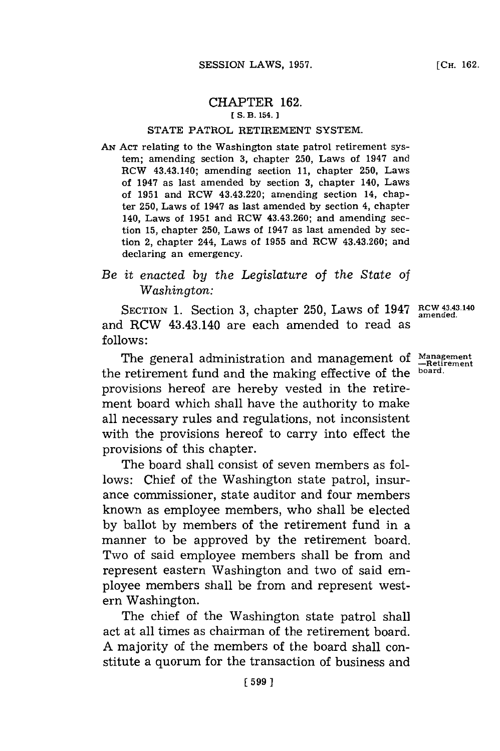## CHAPTER **162. ES. B. 154.**

## **STATE** PATROL RETIREMENT SYSTEM.

**AN ACT** relating to the Washington state patrol retirement system; amending section **3,** chapter **250,** Laws of 1947 and ROW 43.43.140; amending section **11,** chapter **250,** Laws of 1947 as last amended **by** section **3,** chapter 140, Laws of **1951** and ROW 43.43.220; amending section 14, chapter **250,** Laws of 1947 as last amended **by** section 4, chapter 140, Laws of **1951** and ROW 43.43.260; and amending section **15,** chapter **250,** Laws of 1947 as last amended **by** section 2, chapter 244, Laws of **1955** and ROW 43.43.260; and declaring an emergency.

## *Be it enacted by the Legislature* of *the State of Washington:*

SECTION 1. Section 3, chapter 250, Laws of 1947 RCW 43.43.140 and RCW 43.43.140 are each amended to read as **follows:**

The general administration and management of **Management** the retirement fund and the making effective of the **board.** provisions hereof are hereby vested in the retirement board which shall have the authority to make all necessary rules and regulations, not inconsistent with the provisions hereof to carry into effect the provisions of this chapter.

The board shall consist of seven members as follows: Chief of the Washington state patrol, insurance commissioner, state auditor and four members known as employee members, who shall be elected **by** ballot **by** members of the retirement fund in a manner to be approved **by** the retirement board. Two of said employee members shall be from and represent eastern Washington and two of said employee members shall be from and represent western Washington.

The chief of the Washington state patrol shall act at all times as chairman of the retirement board. **A** majority of the members of the board shall constitute a quorum for the transaction of business and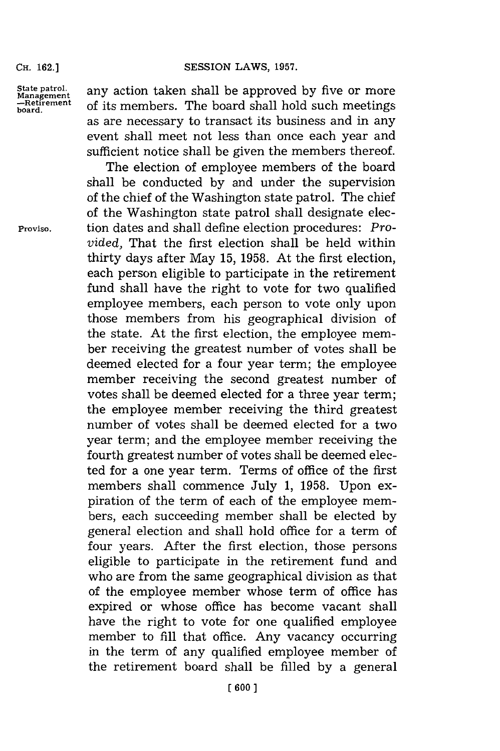**CH. 162.]**

State patrol. **any action taken shall be approved by five or more** Management *of its members* The board shall hold such meetings -Retirement of its members. The board shall hold such meetings as are necessary to transact its business and in any event shall meet not less than once each year and sufficient notice shall be given the members thereof.

The election of employee members of the board shall be conducted **by** and under the supervision of the chief of the Washington state patrol. The chief of the Washington state patrol shall designate elec-**Proviso.** tion dates and shall define election procedures: *Provided,* That the first election shall be held within thirty days after May **15, 1958.** At the first election, each person eligible to participate in the retirement fund shall have the right to vote for two qualified employee members, each person to vote only upon those members from his geographical division of the state. At the first election, the employee member receiving the greatest number of votes shall be deemed elected for a four year term; the employee member receiving the second greatest number of votes shall be deemed elected for a three year term; the employee member receiving the third greatest number of votes shall be deemed elected for a two year term; and the employee member receiving the fourth greatest number of votes shall be deemed elected for a one year term. Terms of office of the first members shall commence July **1, 1958.** Upon expiration of the term of each of the employee members, each succeeding member shall be elected **by** general election and shall hold office for a term of four years. After the first election, those persons eligible to participate in the retirement fund and who are from the same geographical division as that of the employee member whose term of office has expired or whose office has become vacant shall have the right to vote for one qualified employee member to **fill** that office. Any vacancy occurring in the term of any qualified employee member of the retirement board shall be filled **by** a general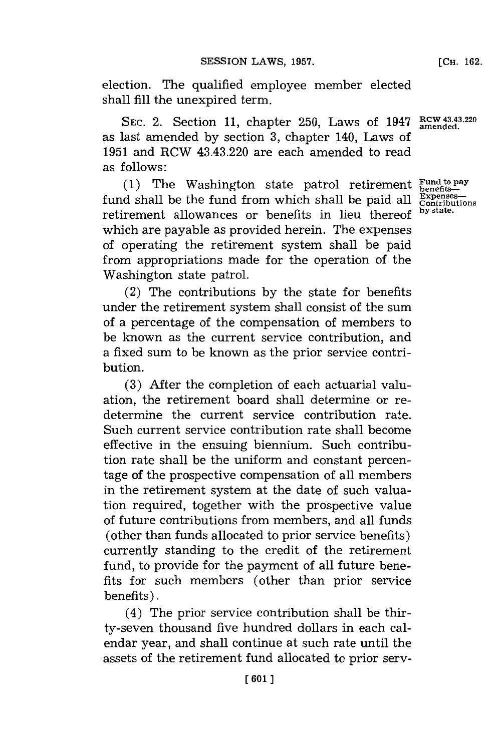election. The qualified employee member elected shall **fill** the unexpired term.

**SEC.** 2. Section **11,** chapter **250,** Laws of 1947 RcW 43.43.220 **amended.** as last amended **by** section **3,** chapter 140, Laws of **1951** and RCW 43.43.220 are each amended to read as follows:

**(1)** The Washington state patrol retirement **Fundfito** pa fund shall be the fund from which shall be paid all  $\frac{Expected}{Contr}}$ retirement allowances or benefits in lieu thereof **by state.** which are payable as provided herein. The expenses of operating the retirement system shall be paid from appropriations made for the operation of the Washington state patrol.

(2) The contributions **by** the state for benefits under the retirement system shall consist of the sum of a percentage of the compensation of members to be known as the current service contribution, and a fixed sum to be known as the prior service contribution.

**(3)** After the completion of each actuarial valuation, the retirement board shall determine or redetermine the current service contribution rate. Such current service contribution rate shall become effective in the ensuing biennium. Such contribution rate shall be the uniform and constant percentage of the prospective compensation of all members in the retirement system at the date of such valuation required, together with the prospective value of future contributions from members, and all funds (other than funds allocated to prior service benefits) currently standing to the credit of the retirement fund, to provide for the payment of all future benefits for such members (other than prior service benefits).

(4) The prior service contribution shall be thirty-seven thousand five hundred dollars in each calendar year, and shall continue at such rate until the assets of the retirement fund allocated to prior serv-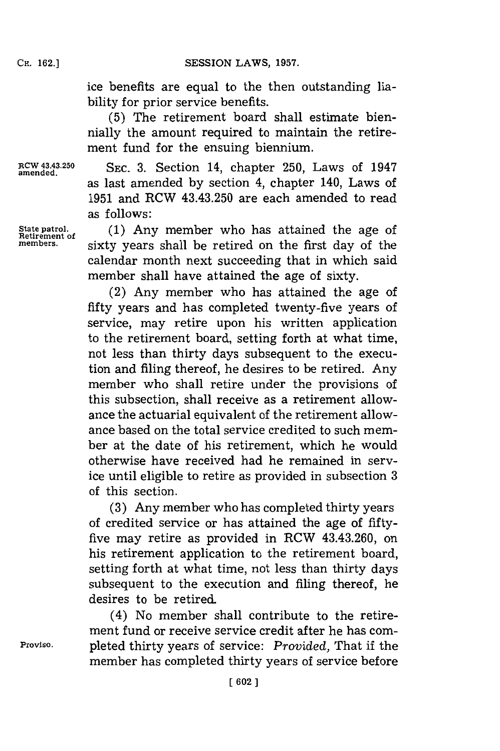ice benefits are equal to the then outstanding liability for prior service benefits.

**(5)** The retirement board shall estimate biennially the amount required to maintain the retirement fund for the ensuing biennium.

RCW 43.43.250 **SEC. 3.** Section 14, chapter 250, Laws of 1947 as last amended **by** section 4, chapter 140, Laws of **1951** and RCW 43.43.250 are each amended to read as follows:

State patrol. **(1)** Any member who has attained the age of **Retirement of sixty** years shall be retired on the first day of the calendar month next succeeding that in which said member shall have attained the age of sixty.

> (2) Any member who has attained the age of fifty years and has completed twenty-five years of service, may retire upon his written application to the retirement board, setting forth at what time, not less than thirty days subsequent to the execution and filing thereof, he desires to be retired. Any member who shall retire under the provisions of this subsection, shall receive as a retirement allowance the actuarial equivalent of the retirement allowance based on the total service credited to such member at the date of his retirement, which he would otherwise have received had he remained in service until eligible to retire as provided in subsection **3** of this section.

> **(3)** Any member who has completed thirty years of credited service or has attained the age of fiftyfive may retire as provided in RCW 43.43.260, on his retirement application to the retirement board, setting forth at what time, not less than thirty days subsequent to the execution and filing thereof, he desires to be retired.

(4) No member shall contribute to the retirement fund or receive service credit after he has com-**Proviso.** pleted thirty years of service: *Provided,* That if the member has completed thirty years of service before